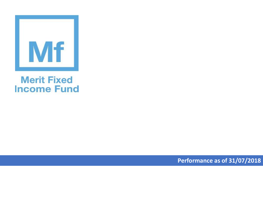

## **Merit Fixed Income Fund**

**Performance as of 31/07/2018**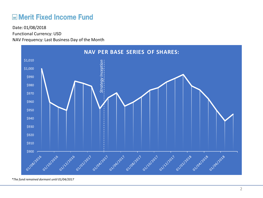## **ME Merit Fixed Income Fund**

Functional Currency: USD NAV Frequency: Last Business Day of the Month